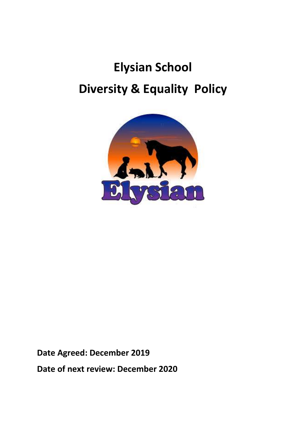# **Elysian School Diversity & Equality Policy**



**Date Agreed: December 2019**

**Date of next review: December 2020**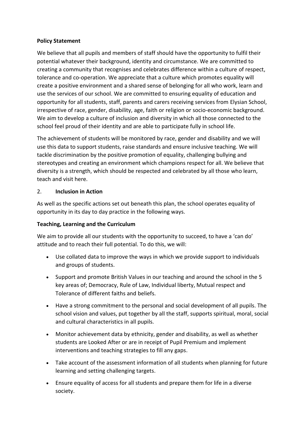#### **Policy Statement**

We believe that all pupils and members of staff should have the opportunity to fulfil their potential whatever their background, identity and circumstance. We are committed to creating a community that recognises and celebrates difference within a culture of respect, tolerance and co-operation. We appreciate that a culture which promotes equality will create a positive environment and a shared sense of belonging for all who work, learn and use the services of our school. We are committed to ensuring equality of education and opportunity for all students, staff, parents and carers receiving services from Elysian School, irrespective of race, gender, disability, age, faith or religion or socio-economic background. We aim to develop a culture of inclusion and diversity in which all those connected to the school feel proud of their identity and are able to participate fully in school life.

The achievement of students will be monitored by race, gender and disability and we will use this data to support students, raise standards and ensure inclusive teaching. We will tackle discrimination by the positive promotion of equality, challenging bullying and stereotypes and creating an environment which champions respect for all. We believe that diversity is a strength, which should be respected and celebrated by all those who learn, teach and visit here.

#### 2. **Inclusion in Action**

As well as the specific actions set out beneath this plan, the school operates equality of opportunity in its day to day practice in the following ways.

## **Teaching, Learning and the Curriculum**

We aim to provide all our students with the opportunity to succeed, to have a 'can do' attitude and to reach their full potential. To do this, we will:

- Use collated data to improve the ways in which we provide support to individuals and groups of students.
- Support and promote British Values in our teaching and around the school in the 5 key areas of; Democracy, Rule of Law, Individual liberty, Mutual respect and Tolerance of different faiths and beliefs.
- Have a strong commitment to the personal and social development of all pupils. The school vision and values, put together by all the staff, supports spiritual, moral, social and cultural characteristics in all pupils.
- Monitor achievement data by ethnicity, gender and disability, as well as whether students are Looked After or are in receipt of Pupil Premium and implement interventions and teaching strategies to fill any gaps.
- Take account of the assessment information of all students when planning for future learning and setting challenging targets.
- Ensure equality of access for all students and prepare them for life in a diverse society.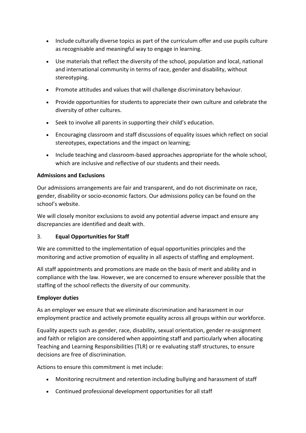- Include culturally diverse topics as part of the curriculum offer and use pupils culture as recognisable and meaningful way to engage in learning.
- Use materials that reflect the diversity of the school, population and local, national and international community in terms of race, gender and disability, without stereotyping.
- Promote attitudes and values that will challenge discriminatory behaviour.
- Provide opportunities for students to appreciate their own culture and celebrate the diversity of other cultures.
- Seek to involve all parents in supporting their child's education.
- Encouraging classroom and staff discussions of equality issues which reflect on social stereotypes, expectations and the impact on learning;
- Include teaching and classroom-based approaches appropriate for the whole school, which are inclusive and reflective of our students and their needs.

## **Admissions and Exclusions**

Our admissions arrangements are fair and transparent, and do not discriminate on race, gender, disability or socio-economic factors. Our admissions policy can be found on the school's website.

We will closely monitor exclusions to avoid any potential adverse impact and ensure any discrepancies are identified and dealt with.

## 3. **Equal Opportunities for Staff**

We are committed to the implementation of equal opportunities principles and the monitoring and active promotion of equality in all aspects of staffing and employment.

All staff appointments and promotions are made on the basis of merit and ability and in compliance with the law. However, we are concerned to ensure wherever possible that the staffing of the school reflects the diversity of our community.

#### **Employer duties**

As an employer we ensure that we eliminate discrimination and harassment in our employment practice and actively promote equality across all groups within our workforce.

Equality aspects such as gender, race, disability, sexual orientation, gender re-assignment and faith or religion are considered when appointing staff and particularly when allocating Teaching and Learning Responsibilities (TLR) or re evaluating staff structures, to ensure decisions are free of discrimination.

Actions to ensure this commitment is met include:

- Monitoring recruitment and retention including bullying and harassment of staff
- Continued professional development opportunities for all staff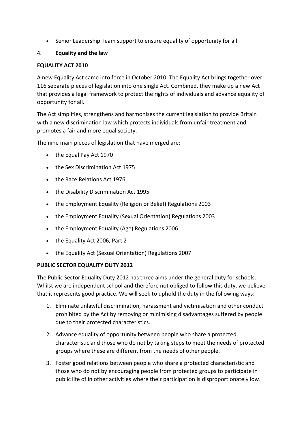• Senior Leadership Team support to ensure equality of opportunity for all

## 4. **Equality and the law**

## **EQUALITY ACT 2010**

A new Equality Act came into force in October 2010. The Equality Act brings together over 116 separate pieces of legislation into one single Act. Combined, they make up a new Act that provides a legal framework to protect the rights of individuals and advance equality of opportunity for all.

The Act simplifies, strengthens and harmonises the current legislation to provide Britain with a new discrimination law which protects individuals from unfair treatment and promotes a fair and more equal society.

The nine main pieces of legislation that have merged are:

- the Equal Pay Act 1970
- the Sex Discrimination Act 1975
- the Race Relations Act 1976
- the Disability Discrimination Act 1995
- the Employment Equality (Religion or Belief) Regulations 2003
- the Employment Equality (Sexual Orientation) Regulations 2003
- the Employment Equality (Age) Regulations 2006
- the Equality Act 2006, Part 2
- the Equality Act (Sexual Orientation) Regulations 2007

## **PUBLIC SECTOR EQUALITY DUTY 2012**

The Public Sector Equality Duty 2012 has three aims under the general duty for schools. Whilst we are independent school and therefore not obliged to follow this duty, we believe that it represents good practice. We will seek to uphold the duty in the following ways:

- 1. Eliminate unlawful discrimination, harassment and victimisation and other conduct prohibited by the Act by removing or minimising disadvantages suffered by people due to their protected characteristics.
- 2. Advance equality of opportunity between people who share a protected characteristic and those who do not by taking steps to meet the needs of protected groups where these are different from the needs of other people.
- 3. Foster good relations between people who share a protected characteristic and those who do not by encouraging people from protected groups to participate in public life of in other activities where their participation is disproportionately low.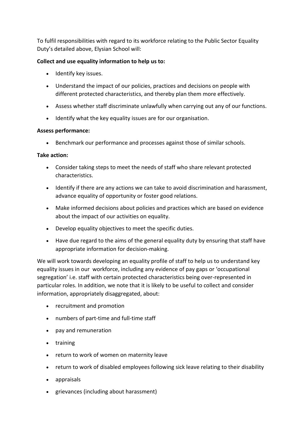To fulfil responsibilities with regard to its workforce relating to the Public Sector Equality Duty's detailed above, Elysian School will:

## **Collect and use equality information to help us to:**

- Identify key issues.
- Understand the impact of our policies, practices and decisions on people with different protected characteristics, and thereby plan them more effectively.
- Assess whether staff discriminate unlawfully when carrying out any of our functions.
- Identify what the key equality issues are for our organisation.

#### **Assess performance:**

• Benchmark our performance and processes against those of similar schools.

#### **Take action:**

- Consider taking steps to meet the needs of staff who share relevant protected characteristics.
- Identify if there are any actions we can take to avoid discrimination and harassment, advance equality of opportunity or foster good relations.
- Make informed decisions about policies and practices which are based on evidence about the impact of our activities on equality.
- Develop equality objectives to meet the specific duties.
- Have due regard to the aims of the general equality duty by ensuring that staff have appropriate information for decision-making.

We will work towards developing an equality profile of staff to help us to understand key equality issues in our workforce, including any evidence of pay gaps or 'occupational segregation' i.e. staff with certain protected characteristics being over-represented in particular roles. In addition, we note that it is likely to be useful to collect and consider information, appropriately disaggregated, about:

- recruitment and promotion
- numbers of part-time and full-time staff
- pay and remuneration
- training
- return to work of women on maternity leave
- return to work of disabled employees following sick leave relating to their disability
- appraisals
- grievances (including about harassment)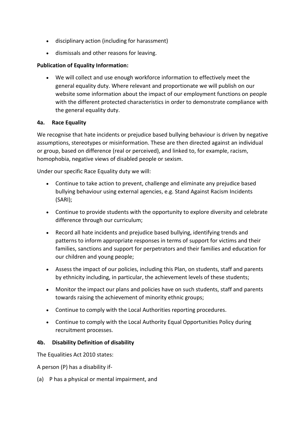- disciplinary action (including for harassment)
- dismissals and other reasons for leaving.

## **Publication of Equality Information:**

• We will collect and use enough workforce information to effectively meet the general equality duty. Where relevant and proportionate we will publish on our website some information about the impact of our employment functions on people with the different protected characteristics in order to demonstrate compliance with the general equality duty.

## **4a. Race Equality**

We recognise that hate incidents or prejudice based bullying behaviour is driven by negative assumptions, stereotypes or misinformation. These are then directed against an individual or group, based on difference (real or perceived), and linked to, for example, racism, homophobia, negative views of disabled people or sexism.

Under our specific Race Equality duty we will:

- Continue to take action to prevent, challenge and eliminate any prejudice based bullying behaviour using external agencies, e.g. Stand Against Racism Incidents (SARI);
- Continue to provide students with the opportunity to explore diversity and celebrate difference through our curriculum;
- Record all hate incidents and prejudice based bullying, identifying trends and patterns to inform appropriate responses in terms of support for victims and their families, sanctions and support for perpetrators and their families and education for our children and young people;
- Assess the impact of our policies, including this Plan, on students, staff and parents by ethnicity including, in particular, the achievement levels of these students;
- Monitor the impact our plans and policies have on such students, staff and parents towards raising the achievement of minority ethnic groups;
- Continue to comply with the Local Authorities reporting procedures.
- Continue to comply with the Local Authority Equal Opportunities Policy during recruitment processes.

## **4b. Disability Definition of disability**

The Equalities Act 2010 states:

A person (P) has a disability if-

(a) P has a physical or mental impairment, and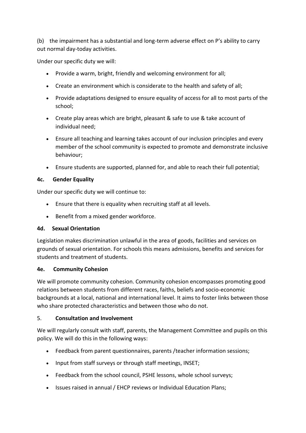(b) the impairment has a substantial and long-term adverse effect on P's ability to carry out normal day-today activities.

Under our specific duty we will:

- Provide a warm, bright, friendly and welcoming environment for all;
- Create an environment which is considerate to the health and safety of all;
- Provide adaptations designed to ensure equality of access for all to most parts of the school;
- Create play areas which are bright, pleasant & safe to use & take account of individual need;
- Ensure all teaching and learning takes account of our inclusion principles and every member of the school community is expected to promote and demonstrate inclusive behaviour;
- Ensure students are supported, planned for, and able to reach their full potential;

## **4c. Gender Equality**

Under our specific duty we will continue to:

- Ensure that there is equality when recruiting staff at all levels.
- Benefit from a mixed gender workforce.

# **4d. Sexual Orientation**

Legislation makes discrimination unlawful in the area of goods, facilities and services on grounds of sexual orientation. For schools this means admissions, benefits and services for students and treatment of students.

# **4e. Community Cohesion**

We will promote community cohesion. Community cohesion encompasses promoting good relations between students from different races, faiths, beliefs and socio-economic backgrounds at a local, national and international level. It aims to foster links between those who share protected characteristics and between those who do not.

# 5. **Consultation and Involvement**

We will regularly consult with staff, parents, the Management Committee and pupils on this policy. We will do this in the following ways:

- Feedback from parent questionnaires, parents /teacher information sessions;
- Input from staff surveys or through staff meetings, INSET;
- Feedback from the school council, PSHE lessons, whole school surveys;
- Issues raised in annual / EHCP reviews or Individual Education Plans;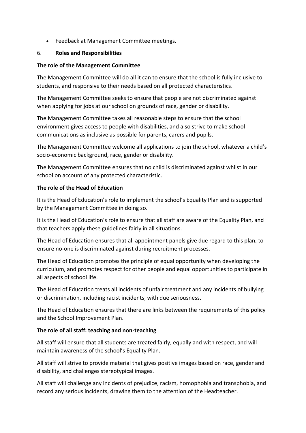• Feedback at Management Committee meetings.

## 6. **Roles and Responsibilities**

## **The role of the Management Committee**

The Management Committee will do all it can to ensure that the school is fully inclusive to students, and responsive to their needs based on all protected characteristics.

The Management Committee seeks to ensure that people are not discriminated against when applying for jobs at our school on grounds of race, gender or disability.

The Management Committee takes all reasonable steps to ensure that the school environment gives access to people with disabilities, and also strive to make school communications as inclusive as possible for parents, carers and pupils.

The Management Committee welcome all applications to join the school, whatever a child's socio-economic background, race, gender or disability.

The Management Committee ensures that no child is discriminated against whilst in our school on account of any protected characteristic.

## **The role of the Head of Education**

It is the Head of Education's role to implement the school's Equality Plan and is supported by the Management Committee in doing so.

It is the Head of Education's role to ensure that all staff are aware of the Equality Plan, and that teachers apply these guidelines fairly in all situations.

The Head of Education ensures that all appointment panels give due regard to this plan, to ensure no-one is discriminated against during recruitment processes.

The Head of Education promotes the principle of equal opportunity when developing the curriculum, and promotes respect for other people and equal opportunities to participate in all aspects of school life.

The Head of Education treats all incidents of unfair treatment and any incidents of bullying or discrimination, including racist incidents, with due seriousness.

The Head of Education ensures that there are links between the requirements of this policy and the School Improvement Plan.

# **The role of all staff: teaching and non-teaching**

All staff will ensure that all students are treated fairly, equally and with respect, and will maintain awareness of the school's Equality Plan.

All staff will strive to provide material that gives positive images based on race, gender and disability, and challenges stereotypical images.

All staff will challenge any incidents of prejudice, racism, homophobia and transphobia, and record any serious incidents, drawing them to the attention of the Headteacher.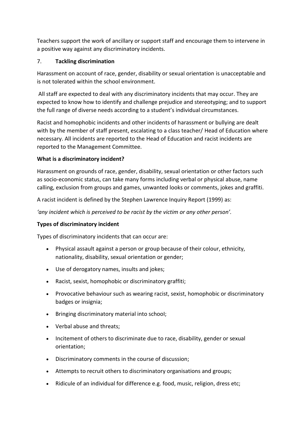Teachers support the work of ancillary or support staff and encourage them to intervene in a positive way against any discriminatory incidents.

## 7. **Tackling discrimination**

Harassment on account of race, gender, disability or sexual orientation is unacceptable and is not tolerated within the school environment.

All staff are expected to deal with any discriminatory incidents that may occur. They are expected to know how to identify and challenge prejudice and stereotyping; and to support the full range of diverse needs according to a student's individual circumstances.

Racist and homophobic incidents and other incidents of harassment or bullying are dealt with by the member of staff present, escalating to a class teacher/ Head of Education where necessary. All incidents are reported to the Head of Education and racist incidents are reported to the Management Committee.

## **What is a discriminatory incident?**

Harassment on grounds of race, gender, disability, sexual orientation or other factors such as socio-economic status, can take many forms including verbal or physical abuse, name calling, exclusion from groups and games, unwanted looks or comments, jokes and graffiti.

A racist incident is defined by the Stephen Lawrence Inquiry Report (1999) as:

*'any incident which is perceived to be racist by the victim or any other person'.*

# **Types of discriminatory incident**

Types of discriminatory incidents that can occur are:

- Physical assault against a person or group because of their colour, ethnicity, nationality, disability, sexual orientation or gender;
- Use of derogatory names, insults and jokes;
- Racist, sexist, homophobic or discriminatory graffiti;
- Provocative behaviour such as wearing racist, sexist, homophobic or discriminatory badges or insignia;
- Bringing discriminatory material into schooI;
- Verbal abuse and threats;
- Incitement of others to discriminate due to race, disability, gender or sexual orientation;
- Discriminatory comments in the course of discussion;
- Attempts to recruit others to discriminatory organisations and groups;
- Ridicule of an individual for difference e.g. food, music, religion, dress etc;